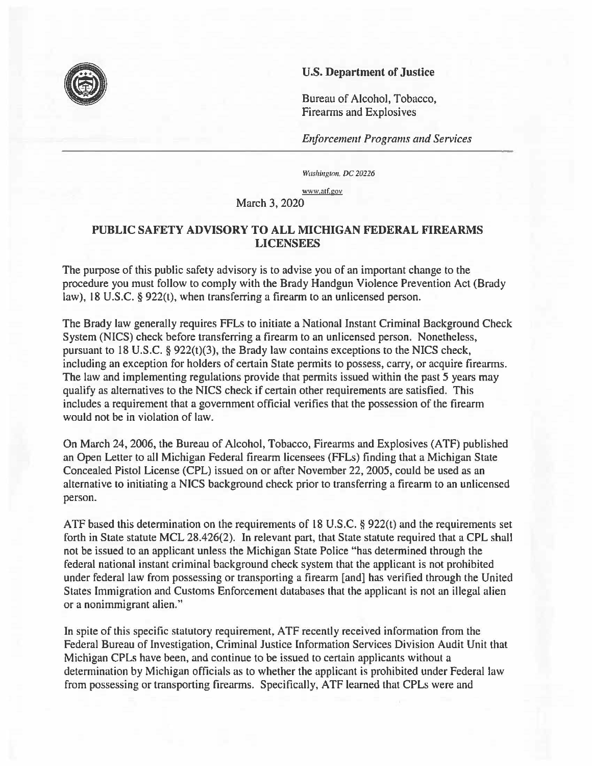## **U.S. Department of Justice**

Bureau of Alcohol, Tobacco, Firearms and Explosives

*Enforcement Programs and Services* 

Washington, DC 20226

<www.atf.gov>

March 3, 2020

## **PUBLIC SAFETY ADVISORY TO ALL MICHIGAN FEDERAL FIREARMS LICENSEES**

The purpose of this public safety advisory is to advise you of an important change to the procedure you must follow to comply with the Brady Handgun Violence Prevention Act (Brady law), 18 U.S.C. § 922(t), when transferring a firearm to an unlicensed person.

The Brady law generally requires FFLs to initiate a National Instant Criminal Background Check System (NICS) check before transferring a firearm to an unlicensed person. Nonetheless, pursuant to 18 U.S.C. § 922(1)(3), the Brady law contains exceptions to the NICS check, including an exception for holders of certain State permits to possess, carry, or acquire firearms. The law and implementing regulations provide that permits issued within the past *5* years may qualify as alternatives to the **NICS** check if certain other requirements are satisfied. This includes a requirement that a government official verifies that the possession of the firearm would not be in violation of law.

On March 24, 2006, the Bureau of Alcohol, Tobacco, Firearms and Explosives (ATF) published an Open Letter to all Michigan Federal firearm licensees (FFLs) finding that a Michigan State Concealed Pistol License (CPL) issued on or after November 22, 2005, could be used as an alternative to initiating a NICS background check prior to transferring a firearm to an unlicensed person.

ATF based this determination on the requirements of 18 U.S.C. § 922(1) and the requirements set forth in State statute MCL 28.426(2). In relevant part, that State statute required that a CPL shall not be issued to an applicant unless the Michigan State Police "has determined through the federal national instant criminal background check system that the applicant is not prohibited under federal law from possessing or transporting a firearm [and] has verified through the United States Immigration and Customs Enforcement databases that the applicant is not an illegal alien or a nonimmigrant alien."

In spite of this specific statutory requirement, ATF recently received information from the Federal Bureau of Investigation, Criminal Justice Information Services Division Audit Unit that Michigan CPLs have been, and continue to be issued to certain applicants without a determination by Michigan officials as to whether the applicant is prohibited under Federal law from possessing or transporting firearms. Specifically, ATF learned that CPLs were and